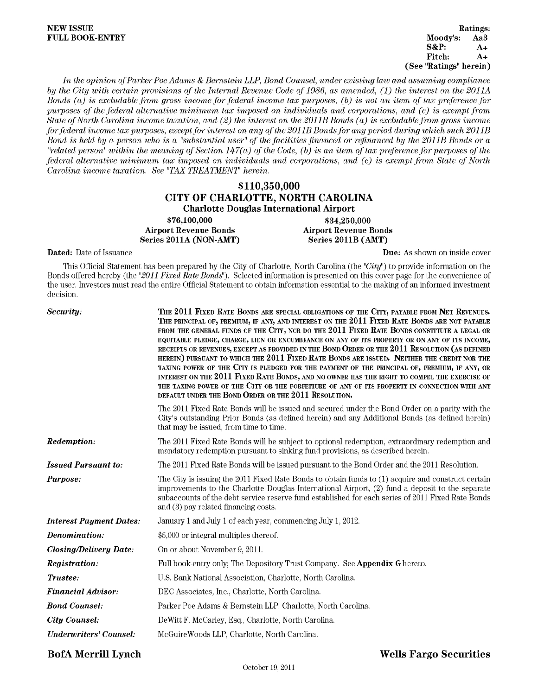### **NEW ISSUE FULL BOOK-ENTRY**

Ratings: Moody's: Aa3 **S&P:**  $A+$ Fitch:  $A+$ (See "Ratings" herein)

In the opinion of Parker Poe Adams & Bernstein LLP, Bond Counsel, under existing law and assuming compliance by the City with certain provisions of the Internal Revenue Code of 1986, as amended, (1) the interest on the 2011A Bonds (a) is excludable from gross income for federal income tax purposes, (b) is not an item of tax preference for purposes of the federal alternative minimum tax imposed on individuals and corporations, and (c) is exempt from State of North Carolina income taxation, and  $(2)$  the interest on the 2011B Bonds  $(a)$  is excludable from gross income for federal income tax purposes, except for interest on any of the 2011B Bonds for any period during which such 2011B Bond is held by a person who is a "substantial user" of the facilities financed or refinanced by the 2011B Bonds or a "related person" within the meaning of Section 147(a) of the Code, (b) is an item of tax preference for purposes of the federal alternative minimum tax imposed on individuals and corporations, and (c) is exempt from State of North Carolina income taxation. See "TAX TREATMENT" herein.

# \$110,350,000 CITY OF CHARLOTTE, NORTH CAROLINA **Charlotte Douglas International Airport**

\$76,100,000 **Airport Revenue Bonds** Series 2011A (NON-AMT)

\$34,250,000 **Airport Revenue Bonds** Series 2011B (AMT)

Dated: Date of Issuance

Due: As shown on inside cover

This Official Statement has been prepared by the City of Charlotte, North Carolina (the "City") to provide information on the Bonds offered hereby (the "2011 Fixed Rate Bonds"). Selected information is presented on this cover page for the convenience of the user. Investors must read the entire Official Statement to obtain information essential to the making of an informed investment decision.

| Security:                      | THE 2011 FIXED RATE BONDS ARE SPECIAL OBLIGATIONS OF THE CITY, PAYABLE FROM NET REVENUES.<br>THE PRINCIPAL OF, PREMIUM, IF ANY, AND INTEREST ON THE 2011 FIXED RATE BONDS ARE NOT PAYABLE<br>FROM THE GENERAL FUNDS OF THE CITY, NOR DO THE 2011 FIXED RATE BONDS CONSTITUTE A LEGAL OR<br>EQUITABLE PLEDGE, CHARGE, LIEN OR ENCUMBRANCE ON ANY OF ITS PROPERTY OR ON ANY OF ITS INCOME,<br>RECEIPTS OR REVENUES, EXCEPT AS PROVIDED IN THE BOND ORDER OR THE 2011 RESOLUTION (AS DEFINED<br>HEREIN) PURSUANT TO WHICH THE 2011 FIXED RATE BONDS ARE ISSUED. NEITHER THE CREDIT NOR THE<br>TAXING POWER OF THE CITY IS PLEDGED FOR THE PAYMENT OF THE PRINCIPAL OF, PREMIUM, IF ANY, OR<br>INTEREST ON THE 2011 FIXED RATE BONDS, AND NO OWNER HAS THE RIGHT TO COMPEL THE EXERCISE OF<br>THE TAXING POWER OF THE CITY OR THE FORFEITURE OF ANY OF ITS PROPERTY IN CONNECTION WITH ANY<br>DEFAULT UNDER THE BOND ORDER OR THE 2011 RESOLUTION. |
|--------------------------------|------------------------------------------------------------------------------------------------------------------------------------------------------------------------------------------------------------------------------------------------------------------------------------------------------------------------------------------------------------------------------------------------------------------------------------------------------------------------------------------------------------------------------------------------------------------------------------------------------------------------------------------------------------------------------------------------------------------------------------------------------------------------------------------------------------------------------------------------------------------------------------------------------------------------------------------------|
|                                | The 2011 Fixed Rate Bonds will be issued and secured under the Bond Order on a parity with the<br>City's outstanding Prior Bonds (as defined herein) and any Additional Bonds (as defined herein)<br>that may be issued, from time to time.                                                                                                                                                                                                                                                                                                                                                                                                                                                                                                                                                                                                                                                                                                    |
| <b>Redemption:</b>             | The 2011 Fixed Rate Bonds will be subject to optional redemption, extraordinary redemption and<br>mandatory redemption pursuant to sinking fund provisions, as described herein.                                                                                                                                                                                                                                                                                                                                                                                                                                                                                                                                                                                                                                                                                                                                                               |
| <b>Issued Pursuant to:</b>     | The 2011 Fixed Rate Bonds will be issued pursuant to the Bond Order and the 2011 Resolution.                                                                                                                                                                                                                                                                                                                                                                                                                                                                                                                                                                                                                                                                                                                                                                                                                                                   |
| Purpose:                       | The City is issuing the 2011 Fixed Rate Bonds to obtain funds to (1) acquire and construct certain<br>improvements to the Charlotte Douglas International Airport, (2) fund a deposit to the separate<br>subaccounts of the debt service reserve fund established for each series of 2011 Fixed Rate Bonds<br>and (3) pay related financing costs.                                                                                                                                                                                                                                                                                                                                                                                                                                                                                                                                                                                             |
| <b>Interest Payment Dates:</b> | January 1 and July 1 of each year, commencing July 1, 2012.                                                                                                                                                                                                                                                                                                                                                                                                                                                                                                                                                                                                                                                                                                                                                                                                                                                                                    |
| Denomination:                  | \$5,000 or integral multiples thereof.                                                                                                                                                                                                                                                                                                                                                                                                                                                                                                                                                                                                                                                                                                                                                                                                                                                                                                         |
| <b>Closing/Delivery Date:</b>  | On or about November 9, 2011.                                                                                                                                                                                                                                                                                                                                                                                                                                                                                                                                                                                                                                                                                                                                                                                                                                                                                                                  |
| <i>Registration:</i>           | Full book-entry only; The Depository Trust Company. See <b>Appendix G</b> hereto.                                                                                                                                                                                                                                                                                                                                                                                                                                                                                                                                                                                                                                                                                                                                                                                                                                                              |
| Trustee:                       | U.S. Bank National Association, Charlotte, North Carolina.                                                                                                                                                                                                                                                                                                                                                                                                                                                                                                                                                                                                                                                                                                                                                                                                                                                                                     |
| <b>Financial Advisor:</b>      | DEC Associates, Inc., Charlotte, North Carolina.                                                                                                                                                                                                                                                                                                                                                                                                                                                                                                                                                                                                                                                                                                                                                                                                                                                                                               |
| <b>Bond Counsel:</b>           | Parker Poe Adams & Bernstein LLP, Charlotte, North Carolina.                                                                                                                                                                                                                                                                                                                                                                                                                                                                                                                                                                                                                                                                                                                                                                                                                                                                                   |
| <b>City Counsel:</b>           | De Witt F. McCarley, Esq., Charlotte, North Carolina.                                                                                                                                                                                                                                                                                                                                                                                                                                                                                                                                                                                                                                                                                                                                                                                                                                                                                          |
| Underwriters' Counsel:         | McGuire Woods LLP, Charlotte, North Carolina.                                                                                                                                                                                                                                                                                                                                                                                                                                                                                                                                                                                                                                                                                                                                                                                                                                                                                                  |

## **BofA Merrill Lynch**

## **Wells Fargo Securities**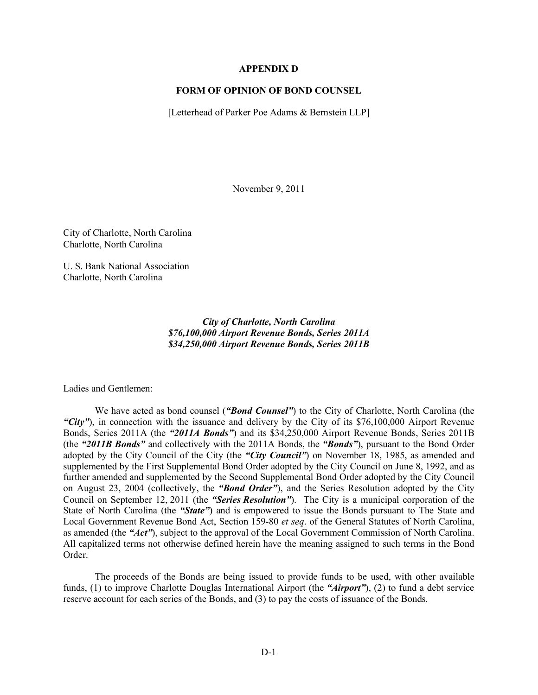### APPENDIX D

### FORM OF OPINION OF BOND COUNSEL

[Letterhead of Parker Poe Adams & Bernstein LLP]

November 9, 2011

City of Charlotte, North Carolina Charlotte, North Carolina

U. S. Bank National Association Charlotte, North Carolina

> *City of Charlotte, North Carolina \$76,100,000 Airport Revenue Bonds, Series 2011A \$34,250,000 Airport Revenue Bonds, Series 2011B*

Ladies and Gentlemen:

We have acted as bond counsel (*"Bond Counsel"*) to the City of Charlotte, North Carolina (the *"City"*), in connection with the issuance and delivery by the City of its \$76,100,000 Airport Revenue Bonds, Series 2011A (the *"2011A Bonds"*) and its \$34,250,000 Airport Revenue Bonds, Series 2011B (the *"2011B Bonds"* and collectively with the 2011A Bonds, the *"Bonds"*), pursuant to the Bond Order adopted by the City Council of the City (the *"City Council"*) on November 18, 1985, as amended and supplemented by the First Supplemental Bond Order adopted by the City Council on June 8, 1992, and as further amended and supplemented by the Second Supplemental Bond Order adopted by the City Council on August 23, 2004 (collectively, the *"Bond Order"*), and the Series Resolution adopted by the City Council on September 12, 2011 (the *"Series Resolution"*). The City is a municipal corporation of the State of North Carolina (the *"State"*) and is empowered to issue the Bonds pursuant to The State and Local Government Revenue Bond Act, Section 159-80 *et seq*. of the General Statutes of North Carolina, as amended (the *"Act"*), subject to the approval of the Local Government Commission of North Carolina. All capitalized terms not otherwise defined herein have the meaning assigned to such terms in the Bond Order.

The proceeds of the Bonds are being issued to provide funds to be used, with other available funds, (1) to improve Charlotte Douglas International Airport (the *"Airport"*), (2) to fund a debt service reserve account for each series of the Bonds, and (3) to pay the costs of issuance of the Bonds.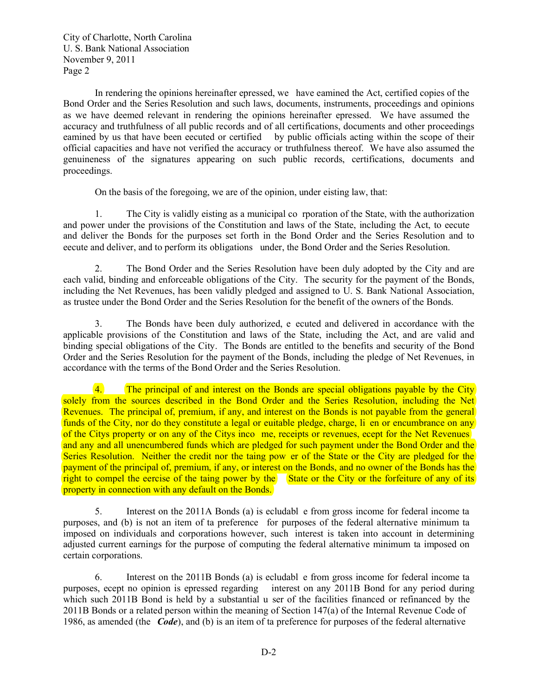City of Charlotte, North Carolina U. S. Bank National Association November 9, 2011 Page 2

In rendering the opinions hereinafter epressed, we have eamined the Act, certified copies of the Bond Order and the Series Resolution and such laws, documents, instruments, proceedings and opinions as we have deemed relevant in rendering the opinions hereinafter epressed. We have assumed the accuracy and truthfulness of all public records and of all certifications, documents and other proceedings eamined by us that have been eecuted or certified by public officials acting within the scope of their official capacities and have not verified the accuracy or truthfulness thereof. We have also assumed the genuineness of the signatures appearing on such public records, certifications, documents and proceedings.

On the basis of the foregoing, we are of the opinion, under eisting law, that:

1. The City is validly eisting as a municipal co rporation of the State, with the authorization and power under the provisions of the Constitution and laws of the State, including the Act, to eecute and deliver the Bonds for the purposes set forth in the Bond Order and the Series Resolution and to execute and deliver, and to perform its obligations under, the Bond Order and the Series Resolution.

2. The Bond Order and the Series Resolution have been duly adopted by the City and are each valid, binding and enforceable obligations of the City. The security for the payment of the Bonds, including the Net Revenues, has been validly pledged and assigned to U. S. Bank National Association, as trustee under the Bond Order and the Series Resolution for the benefit of the owners of the Bonds.

3. The Bonds have been duly authorized, e ecuted and delivered in accordance with the applicable provisions of the Constitution and laws of the State, including the Act, and are valid and binding special obligations of the City. The Bonds are entitled to the benefits and security of the Bond Order and the Series Resolution for the payment of the Bonds, including the pledge of Net Revenues, in accordance with the terms of the Bond Order and the Series Resolution.

4. The principal of and interest on the Bonds are special obligations payable by the City solely from the sources described in the Bond Order and the Series Resolution, including the Net Revenues. The principal of, premium, if any, and interest on the Bonds is not payable from the general funds of the City, nor do they constitute a legal or euitable pledge, charge, li en or encumbrance on any of the Citys property or on any of the Citys inco me, receipts or revenues, ecept for the Net Revenues and any and all unencumbered funds which are pledged for such payment under the Bond Order and the Series Resolution. Neither the credit nor the taing pow er of the State or the City are pledged for the payment of the principal of, premium, if any, or interest on the Bonds, and no owner of the Bonds has the right to compel the eercise of the taing power by the State or the City or the forfeiture of any of its property in connection with any default on the Bonds.

5. Interest on the 2011A Bonds (a) is ecludable from gross income for federal income ta purposes, and (b) is not an item of ta preference for purposes of the federal alternative minimum ta imposed on individuals and corporations however, such interest is taken into account in determining adjusted current earnings for the purpose of computing the federal alternative minimum ta imposed on certain corporations.

6. Interest on the 2011B Bonds (a) is excludabl e from gross income for federal income tax purposes, ecept no opinion is epressed regarding interest on any 2011B Bond for any period during which such 2011B Bond is held by a substantial u ser of the facilities financed or refinanced by the  $2011B$  Bonds or a related person within the meaning of Section 147(a) of the Internal Revenue Code of 1986, as amended (the *Code*), and (b) is an item of ta preference for purposes of the federal alternative